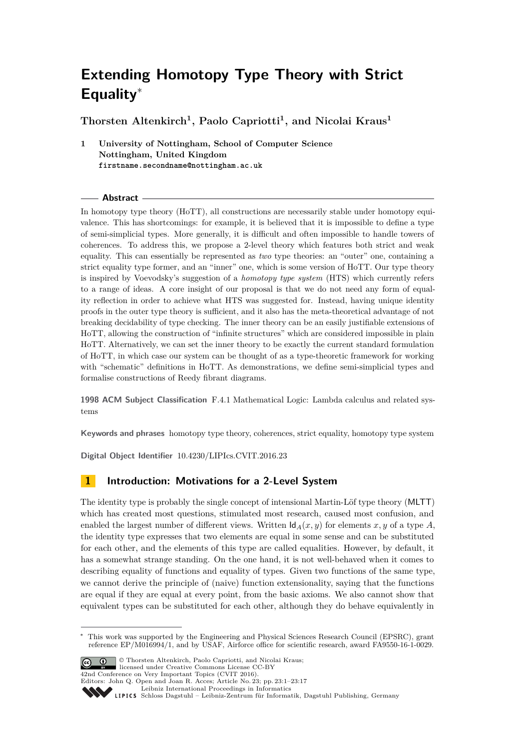# **Extending Homotopy Type Theory with Strict Equality**<sup>∗</sup>

**Thorsten Altenkirch<sup>1</sup> , Paolo Capriotti<sup>1</sup> , and Nicolai Kraus<sup>1</sup>**

**1 University of Nottingham, School of Computer Science Nottingham, United Kingdom firstname.secondname@nottingham.ac.uk**

## **Abstract**

In homotopy type theory (HoTT), all constructions are necessarily stable under homotopy equivalence. This has shortcomings: for example, it is believed that it is impossible to define a type of semi-simplicial types. More generally, it is difficult and often impossible to handle towers of coherences. To address this, we propose a 2-level theory which features both strict and weak equality. This can essentially be represented as *two* type theories: an "outer" one, containing a strict equality type former, and an "inner" one, which is some version of HoTT. Our type theory is inspired by Voevodsky's suggestion of a *homotopy type system* (HTS) which currently refers to a range of ideas. A core insight of our proposal is that we do not need any form of equality reflection in order to achieve what HTS was suggested for. Instead, having unique identity proofs in the outer type theory is sufficient, and it also has the meta-theoretical advantage of not breaking decidability of type checking. The inner theory can be an easily justifiable extensions of HoTT, allowing the construction of "infinite structures" which are considered impossible in plain HoTT. Alternatively, we can set the inner theory to be exactly the current standard formulation of HoTT, in which case our system can be thought of as a type-theoretic framework for working with "schematic" definitions in HoTT. As demonstrations, we define semi-simplicial types and formalise constructions of Reedy fibrant diagrams.

**1998 ACM Subject Classification** F.4.1 Mathematical Logic: Lambda calculus and related systems

**Keywords and phrases** homotopy type theory, coherences, strict equality, homotopy type system

**Digital Object Identifier** [10.4230/LIPIcs.CVIT.2016.23](http://dx.doi.org/10.4230/LIPIcs.CVIT.2016.23)

# **1 Introduction: Motivations for a 2-Level System**

The identity type is probably the single concept of intensional Martin-Löf type theory (MLTT) which has created most questions, stimulated most research, caused most confusion, and enabled the largest number of different views. Written  $\mathsf{Id}_A(x, y)$  for elements x, y of a type A, the identity type expresses that two elements are equal in some sense and can be substituted for each other, and the elements of this type are called equalities. However, by default, it has a somewhat strange standing. On the one hand, it is not well-behaved when it comes to describing equality of functions and equality of types. Given two functions of the same type, we cannot derive the principle of (naive) function extensionality, saying that the functions are equal if they are equal at every point, from the basic axioms. We also cannot show that equivalent types can be substituted for each other, although they do behave equivalently in

This work was supported by the Engineering and Physical Sciences Research Council (EPSRC), grant reference EP/M016994/1, and by USAF, Airforce office for scientific research, award FA9550-16-1-0029.



© Thorsten Altenkirch, Paolo Capriotti, and Nicolai Kraus; licensed under Creative Commons License CC-BY 42nd Conference on Very Important Topics (CVIT 2016). Editors: John Q. Open and Joan R. Acces; Article No. 23; pp. 23:1–23[:17](#page-16-0) [Leibniz International Proceedings in Informatics](http://www.dagstuhl.de/lipics/) Leibniz international ruse einigs in missimosischen Publishing, Germany<br>LIPICS [Schloss Dagstuhl – Leibniz-Zentrum für Informatik, Dagstuhl Publishing, Germany](http://www.dagstuhl.de)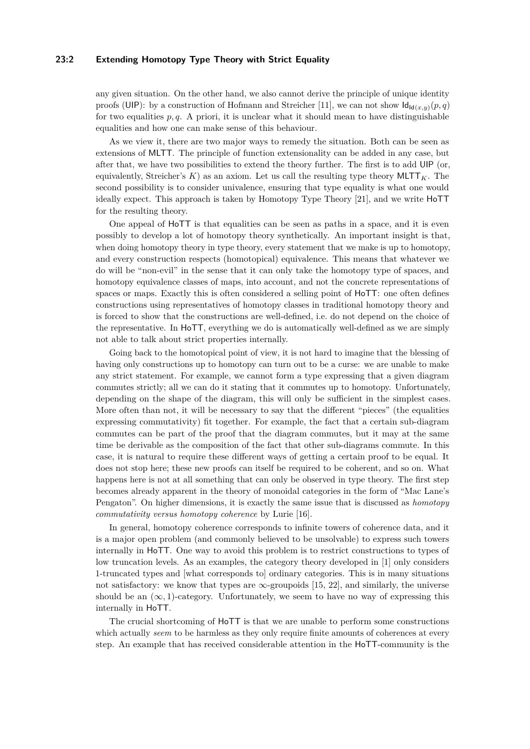#### **23:2 Extending Homotopy Type Theory with Strict Equality**

any given situation. On the other hand, we also cannot derive the principle of unique identity proofs (UIP): by a construction of Hofmann and Streicher [\[11\]](#page-16-1), we can not show  $\mathsf{Id}_{\mathsf{Id}(x,y)}(p,q)$ for two equalities  $p, q$ . A priori, it is unclear what it should mean to have distinguishable equalities and how one can make sense of this behaviour.

As we view it, there are two major ways to remedy the situation. Both can be seen as extensions of MLTT. The principle of function extensionality can be added in any case, but after that, we have two possibilities to extend the theory further. The first is to add UIP (or, equivalently, Streicher's  $K$ ) as an axiom. Let us call the resulting type theory  $MLTT_K$ . The second possibility is to consider univalence, ensuring that type equality is what one would ideally expect. This approach is taken by Homotopy Type Theory [\[21\]](#page-16-2), and we write HoTT for the resulting theory.

One appeal of HoTT is that equalities can be seen as paths in a space, and it is even possibly to develop a lot of homotopy theory synthetically. An important insight is that, when doing homotopy theory in type theory, every statement that we make is up to homotopy, and every construction respects (homotopical) equivalence. This means that whatever we do will be "non-evil" in the sense that it can only take the homotopy type of spaces, and homotopy equivalence classes of maps, into account, and not the concrete representations of spaces or maps. Exactly this is often considered a selling point of HoTT: one often defines constructions using representatives of homotopy classes in traditional homotopy theory and is forced to show that the constructions are well-defined, i.e. do not depend on the choice of the representative. In HoTT, everything we do is automatically well-defined as we are simply not able to talk about strict properties internally.

Going back to the homotopical point of view, it is not hard to imagine that the blessing of having only constructions up to homotopy can turn out to be a curse: we are unable to make any strict statement. For example, we cannot form a type expressing that a given diagram commutes strictly; all we can do it stating that it commutes up to homotopy. Unfortunately, depending on the shape of the diagram, this will only be sufficient in the simplest cases. More often than not, it will be necessary to say that the different "pieces" (the equalities expressing commutativity) fit together. For example, the fact that a certain sub-diagram commutes can be part of the proof that the diagram commutes, but it may at the same time be derivable as the composition of the fact that other sub-diagrams commute. In this case, it is natural to require these different ways of getting a certain proof to be equal. It does not stop here; these new proofs can itself be required to be coherent, and so on. What happens here is not at all something that can only be observed in type theory. The first step becomes already apparent in the theory of monoidal categories in the form of "Mac Lane's Pengaton". On higher dimensions, it is exactly the same issue that is discussed as *homotopy commutativity versus homotopy coherence* by Lurie [\[16\]](#page-16-3).

In general, homotopy coherence corresponds to infinite towers of coherence data, and it is a major open problem (and commonly believed to be unsolvable) to express such towers internally in HoTT. One way to avoid this problem is to restrict constructions to types of low truncation levels. As an examples, the category theory developed in [\[1\]](#page-15-0) only considers 1-truncated types and [what corresponds to] ordinary categories. This is in many situations not satisfactory: we know that types are  $\infty$ -groupoids [\[15,](#page-16-4) [22\]](#page-16-5), and similarly, the universe should be an  $(\infty, 1)$ -category. Unfortunately, we seem to have no way of expressing this internally in HoTT.

The crucial shortcoming of HoTT is that we are unable to perform some constructions which actually *seem* to be harmless as they only require finite amounts of coherences at every step. An example that has received considerable attention in the HoTT-community is the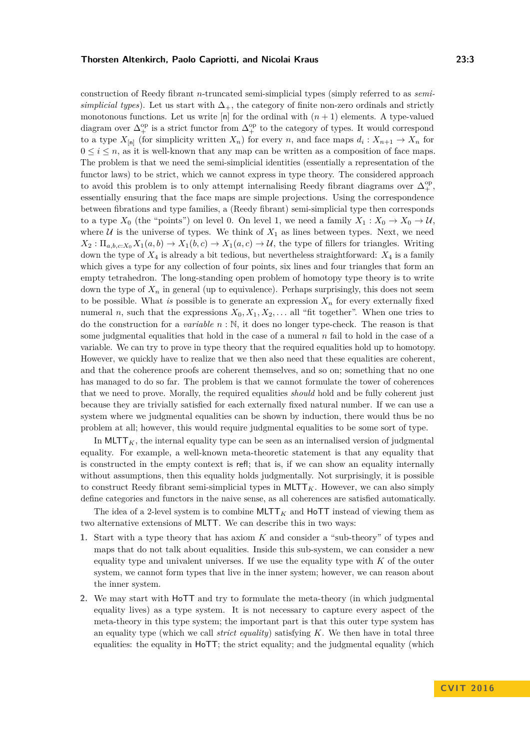construction of Reedy fibrant *n*-truncated semi-simplicial types (simply referred to as *semisimplicial types*). Let us start with  $\Delta_{+}$ , the category of finite non-zero ordinals and strictly monotonous functions. Let us write  $[n]$  for the ordinal with  $(n + 1)$  elements. A type-valued diagram over  $\Delta_+^{\text{op}}$  is a strict functor from  $\Delta_+^{\text{op}}$  to the category of types. It would correspond to a type  $X_{[n]}$  (for simplicity written  $X_n$ ) for every *n*, and face maps  $d_i: X_{n+1} \to X_n$  for  $0 \leq i \leq n$ , as it is well-known that any map can be written as a composition of face maps. The problem is that we need the semi-simplicial identities (essentially a representation of the functor laws) to be strict, which we cannot express in type theory. The considered approach to avoid this problem is to only attempt internalising Reedy fibrant diagrams over  $\Delta_+^{\rm op}$ , essentially ensuring that the face maps are simple projections. Using the correspondence between fibrations and type families, a (Reedy fibrant) semi-simplicial type then corresponds to a type  $X_0$  (the "points") on level 0. On level 1, we need a family  $X_1 : X_0 \to X_0 \to U$ , where  $U$  is the universe of types. We think of  $X_1$  as lines between types. Next, we need  $X_2: \Pi_{a,b,c:X_0} X_1(a,b) \to X_1(b,c) \to X_1(a,c) \to U$ , the type of fillers for triangles. Writing down the type of *X*<sup>4</sup> is already a bit tedious, but nevertheless straightforward: *X*<sup>4</sup> is a family which gives a type for any collection of four points, six lines and four triangles that form an empty tetrahedron. The long-standing open problem of homotopy type theory is to write down the type of  $X_n$  in general (up to equivalence). Perhaps surprisingly, this does not seem to be possible. What *is* possible is to generate an expression  $X_n$  for every externally fixed numeral *n*, such that the expressions  $X_0, X_1, X_2, \ldots$  all "fit together". When one tries to do the construction for a *variable n* : N, it does no longer type-check. The reason is that some judgmental equalities that hold in the case of a numeral *n* fail to hold in the case of a variable. We can try to prove in type theory that the required equalities hold up to homotopy. However, we quickly have to realize that we then also need that these equalities are coherent, and that the coherence proofs are coherent themselves, and so on; something that no one has managed to do so far. The problem is that we cannot formulate the tower of coherences that we need to prove. Morally, the required equalities *should* hold and be fully coherent just because they are trivially satisfied for each externally fixed natural number. If we can use a system where we judgmental equalities can be shown by induction, there would thus be no problem at all; however, this would require judgmental equalities to be some sort of type.

In  $\text{MLTT}_K$ , the internal equality type can be seen as an internalised version of judgmental equality. For example, a well-known meta-theoretic statement is that any equality that is constructed in the empty context is refl; that is, if we can show an equality internally without assumptions, then this equality holds judgmentally. Not surprisingly, it is possible to construct Reedy fibrant semi-simplicial types in  $MLTT_K$ . However, we can also simply define categories and functors in the naive sense, as all coherences are satisfied automatically.

The idea of a 2-level system is to combine  $MLTT_K$  and  $HOTT$  instead of viewing them as two alternative extensions of MLTT. We can describe this in two ways:

- <span id="page-2-0"></span>**1.** Start with a type theory that has axiom *K* and consider a "sub-theory" of types and maps that do not talk about equalities. Inside this sub-system, we can consider a new equality type and univalent universes. If we use the equality type with *K* of the outer system, we cannot form types that live in the inner system; however, we can reason about the inner system.
- **2.** We may start with HoTT and try to formulate the meta-theory (in which judgmental equality lives) as a type system. It is not necessary to capture every aspect of the meta-theory in this type system; the important part is that this outer type system has an equality type (which we call *strict equality*) satisfying *K*. We then have in total three equalities: the equality in HoTT; the strict equality; and the judgmental equality (which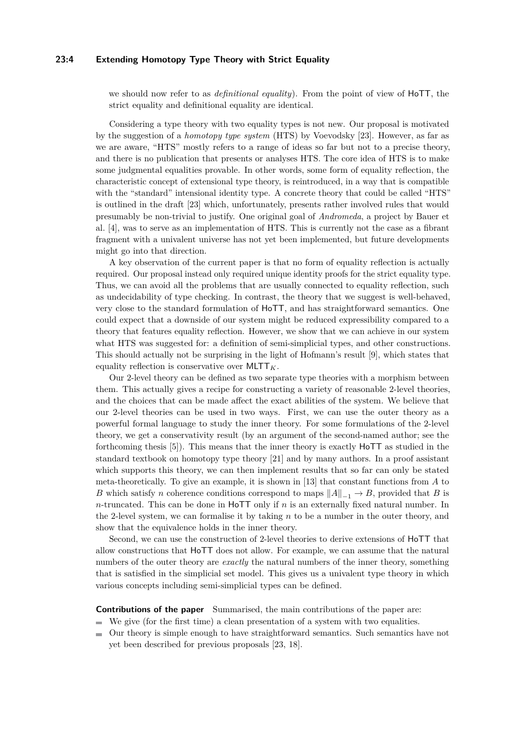## **23:4 Extending Homotopy Type Theory with Strict Equality**

we should now refer to as *definitional equality*). From the point of view of HoTT, the strict equality and definitional equality are identical.

Considering a type theory with two equality types is not new. Our proposal is motivated by the suggestion of a *homotopy type system* (HTS) by Voevodsky [\[23\]](#page-16-6). However, as far as we are aware, "HTS" mostly refers to a range of ideas so far but not to a precise theory, and there is no publication that presents or analyses HTS. The core idea of HTS is to make some judgmental equalities provable. In other words, some form of equality reflection, the characteristic concept of extensional type theory, is reintroduced, in a way that is compatible with the "standard" intensional identity type. A concrete theory that could be called "HTS" is outlined in the draft [\[23\]](#page-16-6) which, unfortunately, presents rather involved rules that would presumably be non-trivial to justify. One original goal of *Andromeda*, a project by Bauer et al. [\[4\]](#page-15-1), was to serve as an implementation of HTS. This is currently not the case as a fibrant fragment with a univalent universe has not yet been implemented, but future developments might go into that direction.

A key observation of the current paper is that no form of equality reflection is actually required. Our proposal instead only required unique identity proofs for the strict equality type. Thus, we can avoid all the problems that are usually connected to equality reflection, such as undecidability of type checking. In contrast, the theory that we suggest is well-behaved, very close to the standard formulation of HoTT, and has straightforward semantics. One could expect that a downside of our system might be reduced expressibility compared to a theory that features equality reflection. However, we show that we can achieve in our system what HTS was suggested for: a definition of semi-simplicial types, and other constructions. This should actually not be surprising in the light of Hofmann's result [\[9\]](#page-15-2), which states that equality reflection is conservative over  $MLTT_K$ .

Our 2-level theory can be defined as two separate type theories with a morphism between them. This actually gives a recipe for constructing a variety of reasonable 2-level theories, and the choices that can be made affect the exact abilities of the system. We believe that our 2-level theories can be used in two ways. First, we can use the outer theory as a powerful formal language to study the inner theory. For some formulations of the 2-level theory, we get a conservativity result (by an argument of the second-named author; see the forthcoming thesis [\[5\]](#page-15-3)). This means that the inner theory is exactly HoTT as studied in the standard textbook on homotopy type theory [\[21\]](#page-16-2) and by many authors. In a proof assistant which supports this theory, we can then implement results that so far can only be stated meta-theoretically. To give an example, it is shown in [\[13\]](#page-16-7) that constant functions from *A* to *B* which satisfy *n* coherence conditions correspond to maps  $||A||_{-1} \rightarrow B$ , provided that *B* is *n*-truncated. This can be done in HoTT only if *n* is an externally fixed natural number. In the 2-level system, we can formalise it by taking *n* to be a number in the outer theory, and show that the equivalence holds in the inner theory.

Second, we can use the construction of 2-level theories to derive extensions of HoTT that allow constructions that HoTT does not allow. For example, we can assume that the natural numbers of the outer theory are *exactly* the natural numbers of the inner theory, something that is satisfied in the simplicial set model. This gives us a univalent type theory in which various concepts including semi-simplicial types can be defined.

**Contributions of the paper** Summarised, the main contributions of the paper are:

- $\blacksquare$  We give (for the first time) a clean presentation of a system with two equalities.
- Our theory is simple enough to have straightforward semantics. Such semantics have not m. yet been described for previous proposals [\[23,](#page-16-6) [18\]](#page-16-8).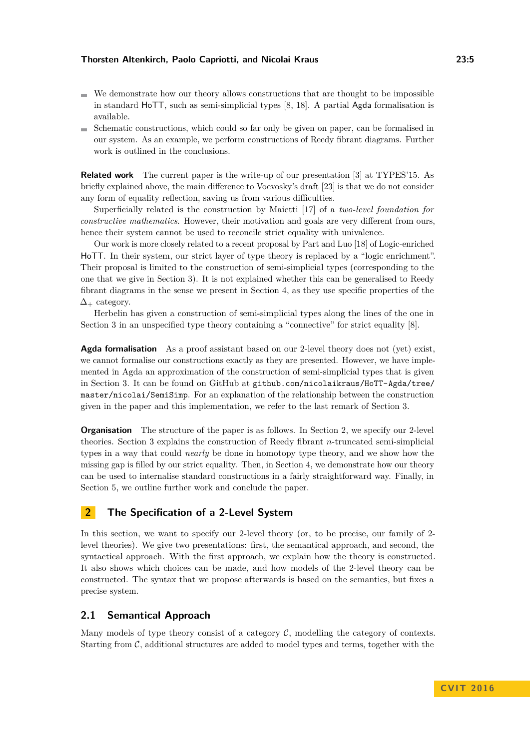- $\blacksquare$  We demonstrate how our theory allows constructions that are thought to be impossible in standard HoTT, such as semi-simplicial types [\[8,](#page-15-4) [18\]](#page-16-8). A partial Agda formalisation is available.
- Schematic constructions, which could so far only be given on paper, can be formalised in our system. As an example, we perform constructions of Reedy fibrant diagrams. Further work is outlined in the conclusions.

**Related work** The current paper is the write-up of our presentation [\[3\]](#page-15-5) at TYPES'15. As briefly explained above, the main difference to Voevosky's draft [\[23\]](#page-16-6) is that we do not consider any form of equality reflection, saving us from various difficulties.

Superficially related is the construction by Maietti [\[17\]](#page-16-9) of a *two-level foundation for constructive mathematics*. However, their motivation and goals are very different from ours, hence their system cannot be used to reconcile strict equality with univalence.

Our work is more closely related to a recent proposal by Part and Luo [\[18\]](#page-16-8) of Logic-enriched HoTT. In their system, our strict layer of type theory is replaced by a "logic enrichment". Their proposal is limited to the construction of semi-simplicial types (corresponding to the one that we give in Section [3\)](#page-8-0). It is not explained whether this can be generalised to Reedy fibrant diagrams in the sense we present in Section [4,](#page-11-0) as they use specific properties of the  $\Delta_+$  category.

Herbelin has given a construction of semi-simplicial types along the lines of the one in Section [3](#page-8-0) in an unspecified type theory containing a "connective" for strict equality [\[8\]](#page-15-4).

**Agda formalisation** As a proof assistant based on our 2-level theory does not (yet) exist, we cannot formalise our constructions exactly as they are presented. However, we have implemented in Agda an approximation of the construction of semi-simplicial types that is given in Section [3.](#page-8-0) It can be found on GitHub at [github.com/nicolaikraus/HoTT-Agda/tree/](https://github.com/nicolaikraus/HoTT-Agda/blob/master/nicolai/SemiSimp/SStypes.agda) [master/nicolai/SemiSimp](https://github.com/nicolaikraus/HoTT-Agda/blob/master/nicolai/SemiSimp/SStypes.agda). For an explanation of the relationship between the construction given in the paper and this implementation, we refer to the last remark of Section [3.](#page-8-0)

**Organisation** The structure of the paper is as follows. In Section [2,](#page-4-0) we specify our 2-level theories. Section [3](#page-8-0) explains the construction of Reedy fibrant *n*-truncated semi-simplicial types in a way that could *nearly* be done in homotopy type theory, and we show how the missing gap is filled by our strict equality. Then, in Section [4,](#page-11-0) we demonstrate how our theory can be used to internalise standard constructions in a fairly straightforward way. Finally, in Section [5,](#page-14-0) we outline further work and conclude the paper.

# <span id="page-4-0"></span>**2 The Specification of a 2-Level System**

In this section, we want to specify our 2-level theory (or, to be precise, our family of 2 level theories). We give two presentations: first, the semantical approach, and second, the syntactical approach. With the first approach, we explain how the theory is constructed. It also shows which choices can be made, and how models of the 2-level theory can be constructed. The syntax that we propose afterwards is based on the semantics, but fixes a precise system.

## **2.1 Semantical Approach**

Many models of type theory consist of a category  $C$ , modelling the category of contexts. Starting from  $C$ , additional structures are added to model types and terms, together with the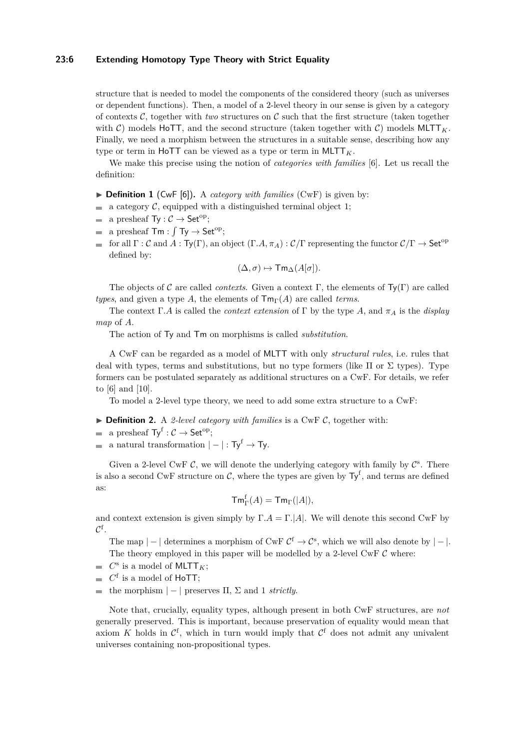## **23:6 Extending Homotopy Type Theory with Strict Equality**

structure that is needed to model the components of the considered theory (such as universes or dependent functions). Then, a model of a 2-level theory in our sense is given by a category of contexts  $\mathcal{C}$ , together with *two* structures on  $\mathcal{C}$  such that the first structure (taken together with C) models HoTT, and the second structure (taken together with C) models  $MLTT_K$ . Finally, we need a morphism between the structures in a suitable sense, describing how any type or term in HoTT can be viewed as a type or term in MLTT<sub>K</sub>.

We make this precise using the notion of *categories with families* [\[6\]](#page-15-6). Let us recall the definition:

- $\triangleright$  **Definition 1** (CwF [\[6\]](#page-15-6)). A *category with families* (CwF) is given by:
- a category  $\mathcal{C}$ , equipped with a distinguished terminal object 1;  $\equiv$
- a presheaf  $Ty : C \to \mathsf{Set}^{\mathrm{op}};$
- a presheaf  $\mathsf{Tm} : \int \mathsf{Ty} \to \mathsf{Set}^{\mathrm{op}};$
- for all  $\Gamma : \mathcal{C}$  and  $A : \mathsf{Ty}(\Gamma)$ , an object  $(\Gamma.A, \pi_A) : \mathcal{C}/\Gamma$  representing the functor  $\mathcal{C}/\Gamma \to \mathsf{Set}^{\mathrm{op}}$  $\bar{a}$ defined by:

$$
(\Delta, \sigma) \mapsto \mathsf{Tm}_{\Delta}(A[\sigma]).
$$

The objects of C are called *contexts*. Given a context  $\Gamma$ , the elements of  $\mathsf{Ty}(\Gamma)$  are called *types*, and given a type *A*, the elements of  $\mathsf{Tm}_{\Gamma}(A)$  are called *terms*.

The context Γ*.A* is called the *context extension* of Γ by the type *A*, and  $\pi_A$  is the *display map* of *A*.

The action of Ty and Tm on morphisms is called *substitution*.

A CwF can be regarded as a model of MLTT with only *structural rules*, i.e. rules that deal with types, terms and substitutions, but no type formers (like  $\Pi$  or  $\Sigma$  types). Type formers can be postulated separately as additional structures on a CwF. For details, we refer to [\[6\]](#page-15-6) and [\[10\]](#page-15-7).

To model a 2-level type theory, we need to add some extra structure to a CwF:

- <span id="page-5-0"></span> $\triangleright$  **Definition 2.** A *2-level category with families* is a CwF *C*, together with:
- a presheaf  $Ty^f : C \to \mathsf{Set}^\mathrm{op};$  $\equiv$
- a natural transformation  $|-|: Ty^f \rightarrow Ty$ .  $\equiv$

Given a 2-level CwF  $\mathcal{C}$ , we will denote the underlying category with family by  $\mathcal{C}^s$ . There is also a second CwF structure on C, where the types are given by  $Ty^f$ , and terms are defined as:

$$
\mathsf{Tm}^{\mathrm{f}}_{\Gamma}(A)=\mathsf{Tm}_{\Gamma}(|A|),
$$

and context extension is given simply by  $\Gamma.A = \Gamma.A$ . We will denote this second CwF by  $\mathcal{C}^\mathrm{f}$  .

The map  $|-|$  determines a morphism of CwF  $\mathcal{C}^f \to \mathcal{C}^s$ , which we will also denote by  $|-|$ . The theory employed in this paper will be modelled by a 2-level  $CwF C$  where:

- $C^{\rm s}$  is a model of MLTT<sub>K</sub>;
- $C<sup>f</sup>$  is a model of HoTT;
- $\blacksquare$  the morphism  $|$  − | preserves Π, Σ and 1 *strictly*.

Note that, crucially, equality types, although present in both CwF structures, are *not* generally preserved. This is important, because preservation of equality would mean that axiom K holds in  $\mathcal{C}^f$ , which in turn would imply that  $\mathcal{C}^f$  does not admit any univalent universes containing non-propositional types.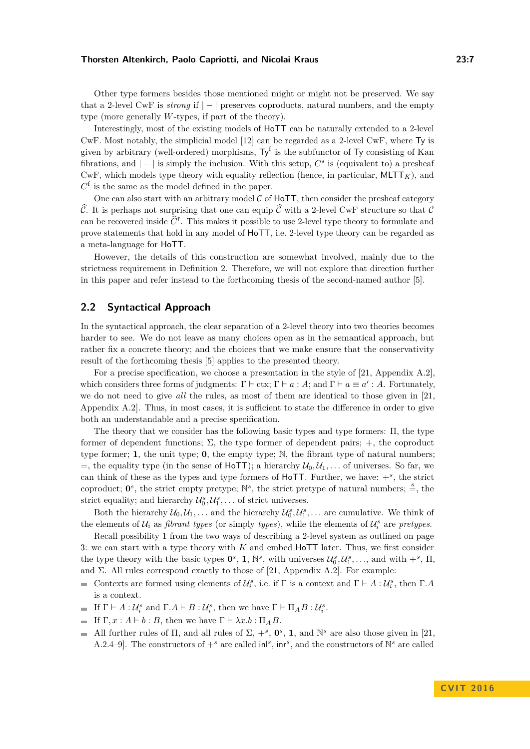Other type formers besides those mentioned might or might not be preserved. We say that a 2-level CwF is *strong* if | − | preserves coproducts, natural numbers, and the empty type (more generally *W*-types, if part of the theory).

Interestingly, most of the existing models of HoTT can be naturally extended to a 2-level CwF. Most notably, the simplicial model [\[12\]](#page-16-10) can be regarded as a 2-level CwF, where Ty is given by arbitrary (well-ordered) morphisms,  $Ty^f$  is the subfunctor of Ty consisting of Kan fibrations, and  $|-|$  is simply the inclusion. With this setup,  $C^s$  is (equivalent to) a presheaf CwF, which models type theory with equality reflection (hence, in particular,  $MLTT<sub>K</sub>$ ), and  $C<sup>f</sup>$  is the same as the model defined in the paper.

One can also start with an arbitrary model  $C$  of  $H$ oTT, then consider the presheaf category  $\hat{\mathcal{C}}$ . It is perhaps not surprising that one can equip  $\hat{\mathcal{C}}$  with a 2-level CwF structure so that  $\mathcal{C}$ can be recovered inside  $\hat{C}^{\text{f}}$ . This makes it possible to use 2-level type theory to formulate and prove statements that hold in any model of HoTT, i.e. 2-level type theory can be regarded as a meta-language for HoTT.

However, the details of this construction are somewhat involved, mainly due to the strictness requirement in Definition [2.](#page-5-0) Therefore, we will not explore that direction further in this paper and refer instead to the forthcoming thesis of the second-named author [\[5\]](#page-15-3).

## **2.2 Syntactical Approach**

In the syntactical approach, the clear separation of a 2-level theory into two theories becomes harder to see. We do not leave as many choices open as in the semantical approach, but rather fix a concrete theory; and the choices that we make ensure that the conservativity result of the forthcoming thesis [\[5\]](#page-15-3) applies to the presented theory.

For a precise specification, we choose a presentation in the style of [\[21,](#page-16-2) Appendix A.2], which considers three forms of judgments:  $\Gamma \vdash \text{ctx}; \Gamma \vdash a : A$ ; and  $\Gamma \vdash a \equiv a' : A$ . Fortunately, we do not need to give *all* the rules, as most of them are identical to those given in [\[21,](#page-16-2) Appendix A.2]. Thus, in most cases, it is sufficient to state the difference in order to give both an understandable and a precise specification.

The theory that we consider has the following basic types and type formers: Π, the type former of dependent functions;  $\Sigma$ , the type former of dependent pairs;  $+$ , the coproduct type former; **1**, the unit type; **0**, the empty type; N, the fibrant type of natural numbers;  $=$ , the equality type (in the sense of HoTT); a hierarchy  $\mathcal{U}_0, \mathcal{U}_1, \ldots$  of universes. So far, we can think of these as the types and type formers of  $HoTT$ . Further, we have:  $+^s$ , the strict coproduct;  $\mathbf{0}^s$ , the strict empty pretype;  $\mathbb{N}^s$ , the strict pretype of natural numbers;  $\stackrel{s}{=}$ , the strict equality; and hierarchy  $\mathcal{U}_0^s, \mathcal{U}_1^s, \ldots$  of strict universes.

Both the hierarchy  $\mathcal{U}_0, \mathcal{U}_1, \ldots$  and the hierarchy  $\mathcal{U}_0^s, \mathcal{U}_1^s, \ldots$  are cumulative. We think of the elements of  $U_i$  as *fibrant types* (or simply *types*), while the elements of  $U_i^s$  are *pretypes*.

Recall possibility [1](#page-2-0) from the two ways of describing a 2-level system as outlined on page [3:](#page-2-0) we can start with a type theory with *K* and embed HoTT later. Thus, we first consider the type theory with the basic types  $\mathbf{0}^s$ , **1**,  $\mathbb{N}^s$ , with universes  $\mathcal{U}_0^s, \mathcal{U}_1^s, \ldots$ , and with  $+^s$ ,  $\Pi$ , and  $\Sigma$ . All rules correspond exactly to those of [\[21,](#page-16-2) Appendix A.2]. For example:

- Contexts are formed using elements of  $\mathcal{U}_i^s$ , i.e. if  $\Gamma$  is a context and  $\Gamma \vdash A : \mathcal{U}_i^s$ , then  $\Gamma.A$ is a context.
- If  $\Gamma \vdash A : U_i^s$  and  $\Gamma.A \vdash B : U_i^s$ , then we have  $\Gamma \vdash \Pi_A B : U_i^s$ .
- If  $\Gamma, x : A \vdash b : B$ , then we have  $\Gamma \vdash \lambda x.b : \Pi_A B$ .
- All further rules of  $\Pi$ , and all rules of  $\Sigma$ ,  $+^s$ ,  $\mathbf{0}^s$ , 1, and  $\mathbb{N}^s$  are also those given in [\[21,](#page-16-2)  $\overline{\phantom{a}}$ A.2.4–9]. The constructors of  $+^s$  are called in<sup>g</sup>, in <sup>s</sup>, and the constructors of  $\mathbb{N}^s$  are called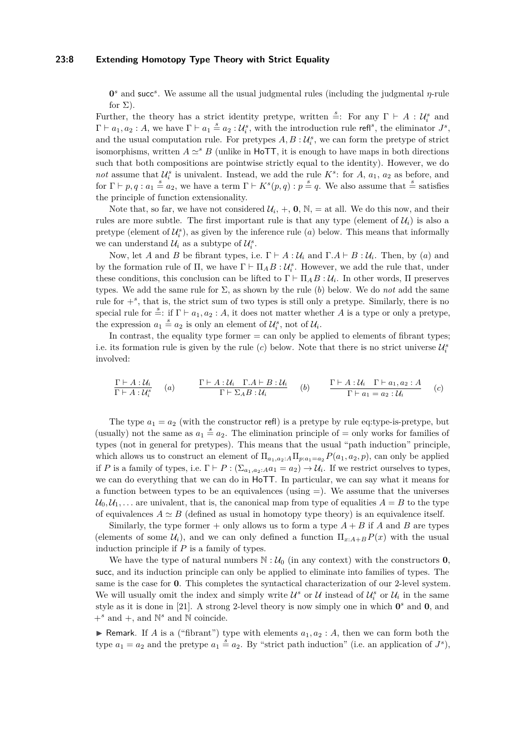#### **23:8 Extending Homotopy Type Theory with Strict Equality**

**0**<sup>*s*</sup> and succ<sup>*s*</sup>. We assume all the usual judgmental rules (including the judgmental *η*-rule for  $\Sigma$ ).

Further, the theory has a strict identity pretype, written  $\stackrel{s}{=}$ : For any  $\Gamma \vdash A : U_i^s$  and  $\Gamma \vdash a_1, a_2 : A$ , we have  $\Gamma \vdash a_1 \stackrel{s}{=} a_2 : U_i^s$ , with the introduction rule refl<sup>s</sup>, the eliminator  $J^s$ , and the usual computation rule. For pretypes  $A, B, \mathcal{U}^s_i$ , we can form the pretype of strict isomorphisms, written  $A \simeq^s B$  (unlike in HoTT, it is enough to have maps in both directions such that both compositions are pointwise strictly equal to the identity). However, we do *not* assume that  $U_i^s$  is univalent. Instead, we add the rule  $K^s$ : for  $A$ ,  $a_1$ ,  $a_2$  as before, and for  $\Gamma \vdash p, q : a_1 \stackrel{s}{=} a_2$ , we have a term  $\Gamma \vdash K^s(p,q) : p \stackrel{s}{=} q$ . We also assume that  $\stackrel{s}{=}$  satisfies the principle of function extensionality.

Note that, so far, we have not considered  $\mathcal{U}_i$ ,  $+$ , **0**,  $\mathbb{N}$ ,  $=$  at all. We do this now, and their rules are more subtle. The first important rule is that any type (element of  $\mathcal{U}_i$ ) is also a pretype (element of  $\mathcal{U}_i^s$ ), as given by the inference rule  $(a)$  below. This means that informally we can understand  $\mathcal{U}_i$  as a subtype of  $\mathcal{U}_i^s$ .

Now, let *A* and *B* be fibrant types, i.e.  $\Gamma \vdash A : U_i$  and  $\Gamma.A \vdash B : U_i$ . Then, by (*a*) and by the formation rule of  $\Pi$ , we have  $\Gamma \vdash \Pi_A B : U_i^s$ . However, we add the rule that, under these conditions, this conclusion can be lifted to  $\Gamma \vdash \Pi_A B : U_i$ . In other words,  $\Pi$  preserves types. We add the same rule for  $\Sigma$ , as shown by the rule (b) below. We do *not* add the same rule for  $+^s$ , that is, the strict sum of two types is still only a pretype. Similarly, there is no special rule for  $\stackrel{s}{=}$ : if  $\Gamma \vdash a_1, a_2 : A$ , it does not matter whether *A* is a type or only a pretype, the expression  $a_1 \stackrel{s}{=} a_2$  is only an element of  $\mathcal{U}_i^s$ , not of  $\mathcal{U}_i$ .

In contrast, the equality type former  $=$  can only be applied to elements of fibrant types; i.e. its formation rule is given by the rule  $(c)$  below. Note that there is no strict universe  $\mathcal{U}_i^s$ involved:

$$
\frac{\Gamma\vdash A:\mathcal{U}_i}{\Gamma\vdash A:\mathcal{U}_i^s} \quad (a) \qquad \frac{\Gamma\vdash A:\mathcal{U}_i \quad \Gamma.A\vdash B:\mathcal{U}_i}{\Gamma\vdash \Sigma_AB:\mathcal{U}_i} \quad (b) \qquad \frac{\Gamma\vdash A:\mathcal{U}_i \quad \Gamma\vdash a_1, a_2:A}{\Gamma\vdash a_1=a_2:\mathcal{U}_i} \quad (c)
$$

The type  $a_1 = a_2$  (with the constructor refl) is a pretype by rule eq:type-is-pretype, but (usually) not the same as  $a_1 \stackrel{s}{=} a_2$ . The elimination principle of  $=$  only works for families of types (not in general for pretypes). This means that the usual "path induction" principle, which allows us to construct an element of  $\Pi_{a_1,a_2:A}\Pi_{p:a_1=a_2}P(a_1,a_2,p)$ , can only be applied if *P* is a family of types, i.e.  $\Gamma \vdash P : (\Sigma_{a_1,a_2:A} a_1 = a_2) \to \mathcal{U}_i$ . If we restrict ourselves to types, we can do everything that we can do in HoTT. In particular, we can say what it means for a function between types to be an equivalences (using  $=$ ). We assume that the universes  $U_0, U_1, \ldots$  are univalent, that is, the canonical map from type of equalities  $A = B$  to the type of equivalences  $A \simeq B$  (defined as usual in homotopy type theory) is an equivalence itself.

Similarly, the type former  $+$  only allows us to form a type  $A + B$  if A and B are types (elements of some  $\mathcal{U}_i$ ), and we can only defined a function  $\Pi_{x:A+B} P(x)$  with the usual induction principle if *P* is a family of types.

We have the type of natural numbers  $\mathbb{N} : \mathcal{U}_0$  (in any context) with the constructors **0**, succ, and its induction principle can only be applied to eliminate into families of types. The same is the case for **0**. This completes the syntactical characterization of our 2-level system. We will usually omit the index and simply write  $\mathcal{U}^s$  or  $\mathcal{U}$  instead of  $\mathcal{U}^s_i$  or  $\mathcal{U}_i$  in the same style as it is done in [\[21\]](#page-16-2). A strong 2-level theory is now simply one in which  $0^s$  and  $0$ , and  $+^s$  and  $+$ , and  $\mathbb{N}^s$  and  $\mathbb{N}$  coincide.

**F** Remark. If *A* is a ("fibrant") type with elements  $a_1, a_2 : A$ , then we can form both the type  $a_1 = a_2$  and the pretype  $a_1 \stackrel{s}{=} a_2$ . By "strict path induction" (i.e. an application of  $J^s$ ),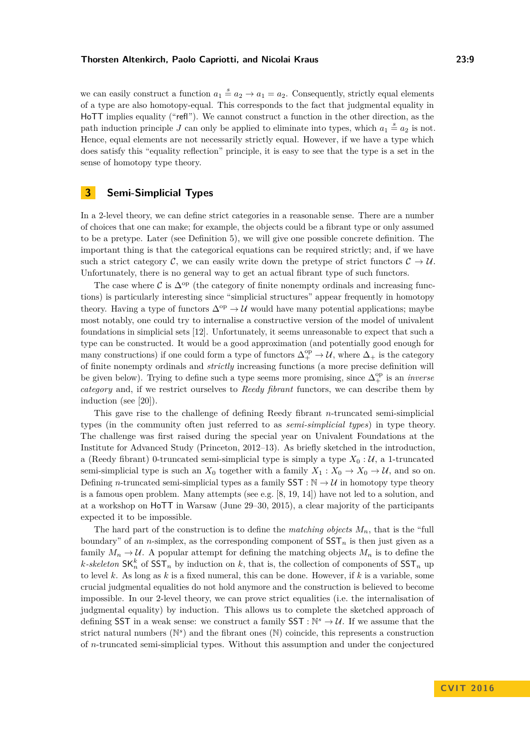we can easily construct a function  $a_1 \stackrel{s}{=} a_2 \rightarrow a_1 = a_2$ . Consequently, strictly equal elements of a type are also homotopy-equal. This corresponds to the fact that judgmental equality in HoTT implies equality ("refl"). We cannot construct a function in the other direction, as the path induction principle *J* can only be applied to eliminate into types, which  $a_1 \stackrel{s}{=} a_2$  is not. Hence, equal elements are not necessarily strictly equal. However, if we have a type which does satisfy this "equality reflection" principle, it is easy to see that the type is a set in the sense of homotopy type theory.

# <span id="page-8-0"></span>**3 Semi-Simplicial Types**

In a 2-level theory, we can define strict categories in a reasonable sense. There are a number of choices that one can make; for example, the objects could be a fibrant type or only assumed to be a pretype. Later (see Definition [5\)](#page-12-0), we will give one possible concrete definition. The important thing is that the categorical equations can be required strictly; and, if we have such a strict category C, we can easily write down the pretype of strict functors  $C \rightarrow U$ . Unfortunately, there is no general way to get an actual fibrant type of such functors.

The case where C is  $\Delta^{op}$  (the category of finite nonempty ordinals and increasing functions) is particularly interesting since "simplicial structures" appear frequently in homotopy theory. Having a type of functors  $\Delta^{op} \to \mathcal{U}$  would have many potential applications; maybe most notably, one could try to internalise a constructive version of the model of univalent foundations in simplicial sets [\[12\]](#page-16-10). Unfortunately, it seems unreasonable to expect that such a type can be constructed. It would be a good approximation (and potentially good enough for many constructions) if one could form a type of functors  $\Delta_+^{\text{op}} \to \mathcal{U}$ , where  $\Delta_+$  is the category of finite nonempty ordinals and *strictly* increasing functions (a more precise definition will be given below). Trying to define such a type seems more promising, since  $\Delta_+^{\text{op}}$  is an *inverse category* and, if we restrict ourselves to *Reedy fibrant* functors, we can describe them by induction (see [\[20\]](#page-16-11)).

This gave rise to the challenge of defining Reedy fibrant *n*-truncated semi-simplicial types (in the community often just referred to as *semi-simplicial types*) in type theory. The challenge was first raised during the special year on Univalent Foundations at the Institute for Advanced Study (Princeton, 2012–13). As briefly sketched in the introduction, a (Reedy fibrant) 0-truncated semi-simplicial type is simply a type  $X_0: \mathcal{U}$ , a 1-truncated semi-simplicial type is such an  $X_0$  together with a family  $X_1 : X_0 \to X_0 \to \mathcal{U}$ , and so on. Defining *n*-truncated semi-simplicial types as a family  $SST : N \rightarrow U$  in homotopy type theory is a famous open problem. Many attempts (see e.g. [\[8,](#page-15-4) [19,](#page-16-12) [14\]](#page-16-13)) have not led to a solution, and at a workshop on HoTT in Warsaw (June 29–30, 2015), a clear majority of the participants expected it to be impossible.

The hard part of the construction is to define the *matching objects*  $M_n$ , that is the "full boundary" of an *n*-simplex, as the corresponding component of SST*<sup>n</sup>* is then just given as a family  $M_n \to U$ . A popular attempt for defining the matching objects  $M_n$  is to define the *k*-skeleton  $SK_n^k$  of  $SST_n$  by induction on *k*, that is, the collection of components of  $SST_n$  up to level *k*. As long as *k* is a fixed numeral, this can be done. However, if *k* is a variable, some crucial judgmental equalities do not hold anymore and the construction is believed to become impossible. In our 2-level theory, we can prove strict equalities (i.e. the internalisation of judgmental equality) by induction. This allows us to complete the sketched approach of defining SST in a weak sense: we construct a family  $SST : \mathbb{N}^s \to \mathcal{U}$ . If we assume that the strict natural numbers ( $\mathbb{N}^s$ ) and the fibrant ones ( $\mathbb{N}$ ) coincide, this represents a construction of *n*-truncated semi-simplicial types. Without this assumption and under the conjectured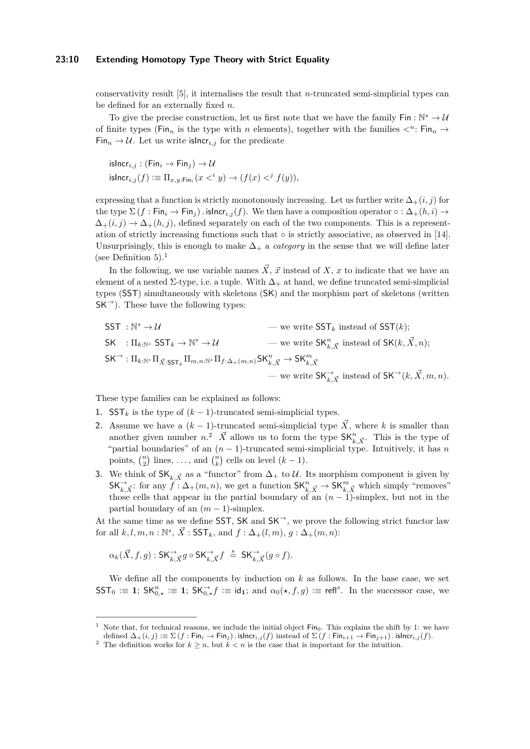#### **23:10 Extending Homotopy Type Theory with Strict Equality**

conservativity result [\[5\]](#page-15-3), it internalises the result that *n*-truncated semi-simplicial types can be defined for an externally fixed *n*.

To give the precise construction, let us first note that we have the family  $\mathsf{Fin} : \mathbb{N}^s \to \mathcal{U}$ of finite types (Fin<sub>n</sub> is the type with *n* elements), together with the families  $\langle n : F \mid n_n \rangle$  $\text{Fin}_n \to \mathcal{U}$ . Let us write islncr<sub>i,j</sub> for the predicate

$$
\begin{aligned} \mathsf{isIncr}_{i,j} : (\mathsf{Fin}_i \to \mathsf{Fin}_j) \to \mathcal{U} \\ \mathsf{isIncr}_{i,j}(f) &:= \Pi_{x,y:\mathsf{Fin}_i}(x <^i y) \to (f(x) <^j f(y)), \end{aligned}
$$

expressing that a function is strictly monotonously increasing. Let us further write  $\Delta_+(i, j)$  for the type  $\Sigma$  (*f* : Fin<sub>i</sub>  $\rightarrow$  Fin<sub>j</sub>)  $\cdot$  islncr<sub>i,j</sub>(*f*). We then have a composition operator  $\circ$  :  $\Delta_+(h,i) \rightarrow$  $\Delta_{+}(i, j) \rightarrow \Delta_{+}(h, j)$ , defined separately on each of the two components. This is a representation of strictly increasing functions such that  $\circ$  is strictly associative, as observed in [\[14\]](#page-16-13). Unsurprisingly, this is enough to make  $\Delta_+$  a *category* in the sense that we will define later (see Definition [5\)](#page-12-0).<sup>[1](#page-9-0)</sup>

In the following, we use variable names  $\vec{X}$ ,  $\vec{x}$  instead of X, x to indicate that we have an element of a nested  $\Sigma$ -type, i.e. a tuple. With  $\Delta_+$  at hand, we define truncated semi-simplicial types (SST) simultaneously with skeletons (SK) and the morphism part of skeletons (written  $SK^{\rightarrow}$ ). These have the following types:

$$
\begin{aligned}\n\text{SST}: \mathbb{N}^s &\rightarrow \mathcal{U} & \text{we write } \text{SST}_k \text{ instead of } \text{SST}(k); \\
\text{SK}: \Pi_{k:\mathbb{N}^s} \text{SST}_k &\rightarrow \mathbb{N}^s &\rightarrow \mathcal{U} & \text{we write } \text{SK}_{k,\vec{X}}^n \text{ instead of } \text{SK}(k, \vec{X}, n); \\
\text{SK}^{\rightarrow}: \Pi_{k:\mathbb{N}^s} \Pi_{\vec{X}: \text{SST}_k} \Pi_{m,n:\mathbb{N}^s} \Pi_{f:\Delta_{+}(m,n)} \text{SK}_{k,\vec{X}}^n &\rightarrow \text{SK}_{k,\vec{X}}^m \text{ instead of } \text{SK}^{\rightarrow}(k, \vec{X}, m, n).\n\end{aligned}
$$

These type families can be explained as follows:

- **1.** SST<sub>k</sub> is the type of  $(k-1)$ -truncated semi-simplicial types.
- **2.** Assume we have a  $(k-1)$ -truncated semi-simplicial type  $\vec{X}$ , where *k* is smaller than another given number  $n^2$  $n^2$ .  $\vec{X}$  allows us to form the type  $\mathsf{SK}_{k,\vec{X}}^n$ . This is the type of "partial boundaries" of an  $(n-1)$ -truncated semi-simplicial type. Intuitively, it has *n* points,  $\binom{n}{2}$  lines, ..., and  $\binom{n}{k}$  cells on level  $(k-1)$ .
- **3.** We think of  $SK_{k,\vec{X}}$  as a "functor" from  $\Delta_+$  to U. Its morphism component is given by  $\mathsf{SK}_{k,\vec{X}}^{\rightarrow}$ : for any  $\hat{f}$ :  $\Delta_{+}(m,n)$ , we get a function  $\mathsf{SK}_{k,\vec{X}}^{n} \rightarrow \mathsf{SK}_{k,\vec{X}}^{m}$  which simply "removes" those cells that appear in the partial boundary of an  $(n-1)$ -simplex, but not in the partial boundary of an  $(m-1)$ -simplex.

At the same time as we define SST, SK and  $SK^{\rightarrow}$ , we prove the following strict functor law for all  $k, l, m, n : \mathbb{N}^s$ ,  $\vec{X}$  :  $\mathsf{SST}_k$ , and  $f : \Delta_+(l,m)$ ,  $g : \Delta_+(m,n)$ :

$$
\alpha_k(\vec{X},f,g): \mathsf{SK}_{k,\vec{X}}^{\rightarrow} g \circ \mathsf{SK}_{k,\vec{X}}^{\rightarrow} f \stackrel{s}{=} \mathsf{SK}_{k,\vec{X}}^{\rightarrow} (g \circ f).
$$

We define all the components by induction on  $k$  as follows. In the base case, we set  $\mathsf{SST}_0 := \mathbf{1}; \; \mathsf{SK}_{0,\star}^n := \mathbf{1}; \; \mathsf{SK}_{0,\star}^{\to} f := \mathsf{id}_\mathbf{1}; \; \text{and} \; \alpha_0(\star, f, g) := \mathsf{refl}^s.$  In the successor case, we

<span id="page-9-0"></span>Note that, for technical reasons, we include the initial object  $Fin_0$ . This explains the shift by 1: we have defined  $\Delta_+(i,j) := \sum (f : \text{Fin}_i \to \text{Fin}_j)$ *.* is $\text{Incr}_{i,j}(f)$  instead of  $\sum (f : \text{Fin}_{i+1} \to \text{Fin}_{j+1})$ *.* is $\text{Incr}_{i,j}(f)$ .

<span id="page-9-1"></span><sup>&</sup>lt;sup>2</sup> The definition works for  $k \geq n$ , but  $k < n$  is the case that is important for the intuition.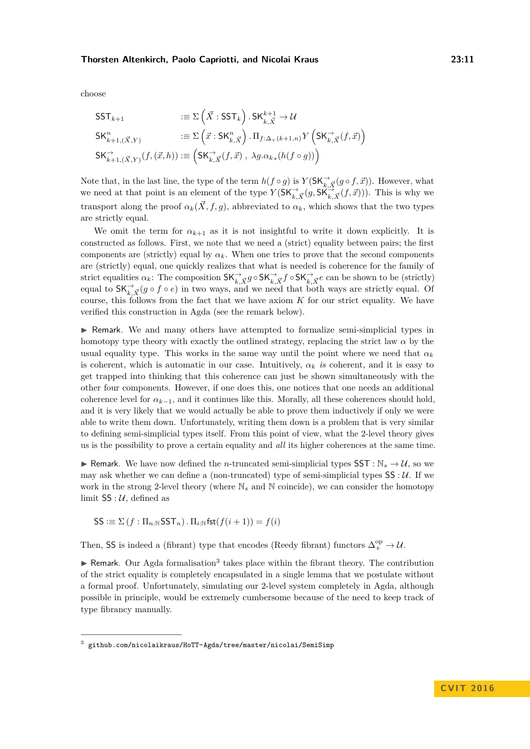choose

$$
\begin{aligned}\n\text{SST}_{k+1} & \qquad & := \Sigma\left(\vec{X} : \text{SST}_k\right) . \text{SK}_{k,\vec{X}}^{k+1} \to \mathcal{U} \\
\text{SK}_{k+1,(\vec{X},Y)}^n & \qquad & := \Sigma\left(\vec{x} : \text{SK}_{k,\vec{X}}^n\right) . \Pi_{f:\Delta_+(k+1,n)} Y\left(\text{SK}_{k,\vec{X}} \to \vec{x}\right) \\
\text{SK}_{k+1,(\vec{X},Y)}^{\to}(f,(\vec{x},h)) & \qquad & := \left(\text{SK}_{k,\vec{X}}^{\to}(f,\vec{x}) , \ \lambda g. \alpha_{k*}(h(f \circ g))\right)\n\end{aligned}
$$

Note that, in the last line, the type of the term  $h(f \circ g)$  is  $Y(\mathsf{SK}_{k,\vec{X}}^{\rightarrow}(g \circ f, \vec{x}))$ . However, what we need at that point is an element of the type  $Y(SK_{k,\vec{X}}^{\rightarrow}(g,S\widetilde{K_{k,\vec{X}}}^{\rightarrow}(f,\vec{x})))$ . This is why we transport along the proof  $\alpha_k(\vec{X}, f, g)$ , abbreviated to  $\alpha_k$ , which shows that the two types are strictly equal.

We omit the term for  $\alpha_{k+1}$  as it is not insightful to write it down explicitly. It is constructed as follows. First, we note that we need a (strict) equality between pairs; the first components are (strictly) equal by  $\alpha_k$ . When one tries to prove that the second components are (strictly) equal, one quickly realizes that what is needed is coherence for the family of strict equalities  $\alpha_k$ : The composition  $\mathsf{SK}_{k,\vec{X}}^{\rightarrow} g \circ \mathsf{SK}_{k,\vec{X}}^{\rightarrow} f \circ \mathsf{SK}_{k,\vec{X}}^{\rightarrow} e$  can be shown to be (strictly) equal to  $\mathsf{SK}_{k,\vec{X}}^{\rightarrow}(g \circ f \circ e)$  in two ways, and we need that both ways are strictly equal. Of course, this follows from the fact that we have axiom *K* for our strict equality. We have verified this construction in Agda (see the remark below).

 $\triangleright$  Remark. We and many others have attempted to formalize semi-simplicial types in homotopy type theory with exactly the outlined strategy, replacing the strict law  $\alpha$  by the usual equality type. This works in the same way until the point where we need that  $\alpha_k$ is coherent, which is automatic in our case. Intuitively,  $\alpha_k$  *is* coherent, and it is easy to get trapped into thinking that this coherence can just be shown simultaneously with the other four components. However, if one does this, one notices that one needs an additional coherence level for  $\alpha_{k-1}$ , and it continues like this. Morally, all these coherences should hold, and it is very likely that we would actually be able to prove them inductively if only we were able to write them down. Unfortunately, writing them down is a problem that is very similar to defining semi-simplicial types itself. From this point of view, what the 2-level theory gives us is the possibility to prove a certain equality and *all* its higher coherences at the same time.

**F** Remark. We have now defined the *n*-truncated semi-simplicial types SST :  $\mathbb{N}_s \to \mathcal{U}$ , so we may ask whether we can define a (non-truncated) type of semi-simplicial types  $SS : U$ . If we work in the strong 2-level theory (where  $\mathbb{N}_s$  and  $\mathbb{N}$  coincide), we can consider the homotopy limit  $SS : U$ , defined as

$$
\mathsf{SS} := \Sigma(f : \Pi_{n:\mathbb{N}} \mathsf{SST}_n) \cdot \Pi_{i:\mathbb{N}} \mathsf{fst}(f(i+1)) = f(i)
$$

Then, SS is indeed a (fibrant) type that encodes (Reedy fibrant) functors  $\Delta_+^{\text{op}} \to \mathcal{U}$ .

 $\blacktriangleright$  Remark. Our Agda formalisation<sup>[3](#page-10-0)</sup> takes place within the fibrant theory. The contribution of the strict equality is completely encapsulated in a single lemma that we postulate without a formal proof. Unfortunately, simulating our 2-level system completely in Agda, although possible in principle, would be extremely cumbersome because of the need to keep track of type fibrancy manually.

<span id="page-10-0"></span><sup>3</sup> [github.com/nicolaikraus/HoTT-Agda/tree/master/nicolai/SemiSimp](https://github.com/nicolaikraus/HoTT-Agda/blob/master/nicolai/SemiSimp/SStypes.agda)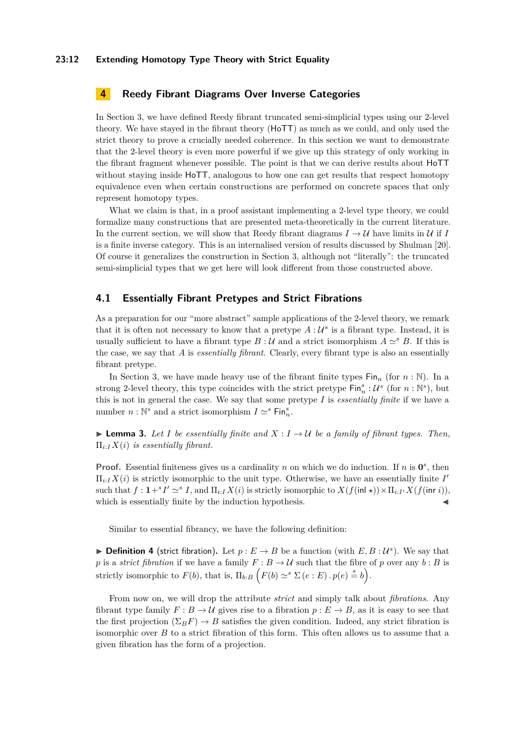#### **23:12 Extending Homotopy Type Theory with Strict Equality**

# <span id="page-11-0"></span>**4 Reedy Fibrant Diagrams Over Inverse Categories**

In Section [3,](#page-8-0) we have defined Reedy fibrant truncated semi-simplicial types using our 2-level theory. We have stayed in the fibrant theory (HoTT) as much as we could, and only used the strict theory to prove a crucially needed coherence. In this section we want to demonstrate that the 2-level theory is even more powerful if we give up this strategy of only working in the fibrant fragment whenever possible. The point is that we can derive results about HoTT without staying inside  $H\circ TT$ , analogous to how one can get results that respect homotopy equivalence even when certain constructions are performed on concrete spaces that only represent homotopy types.

What we claim is that, in a proof assistant implementing a 2-level type theory, we could formalize many constructions that are presented meta-theoretically in the current literature. In the current section, we will show that Reedy fibrant diagrams  $I \rightarrow U$  have limits in U if I is a finite inverse category. This is an internalised version of results discussed by Shulman [\[20\]](#page-16-11). Of course it generalizes the construction in Section [3,](#page-8-0) although not "literally": the truncated semi-simplicial types that we get here will look different from those constructed above.

## **4.1 Essentially Fibrant Pretypes and Strict Fibrations**

As a preparation for our "more abstract" sample applications of the 2-level theory, we remark that it is often not necessary to know that a pretype  $A: U^s$  is a fibrant type. Instead, it is usually sufficient to have a fibrant type  $B: U$  and a strict isomorphism  $A \simeq^s B$ . If this is the case, we say that *A* is *essentially fibrant*. Clearly, every fibrant type is also an essentially fibrant pretype.

In Section [3,](#page-8-0) we have made heavy use of the fibrant finite types  $\text{Fin}_n$  (for  $n : \mathbb{N}$ ). In a strong 2-level theory, this type coincides with the strict pretype  $\textsf{Fin}^s_n: \mathcal{U}^s$  (for  $n : \mathbb{N}^s$ ), but this is not in general the case. We say that some pretype *I* is *essentially finite* if we have a number  $n : \mathbb{N}^s$  and a strict isomorphism  $I \simeq^s \mathsf{Fin}_n^s$ .

**Lemma 3.** Let I be essentially finite and  $X: I \to U$  be a family of fibrant types. Then,  $\Pi_{i:I} X(i)$  *is essentially fibrant.* 

**Proof.** Essential finiteness gives us a cardinality *n* on which we do induction. If *n* is  $0^s$ , then  $\Pi_{i:I}X(i)$  is strictly isomorphic to the unit type. Otherwise, we have an essentially finite *I* such that  $f: \mathbf{1} + ^s I' \simeq ^s I$ , and  $\Pi_{i:I} X(i)$  is strictly isomorphic to  $X(f(\text{inl } \star)) \times \Pi_{i:I'} X(f(\text{inr } i)),$ which is essentially finite by the induction hypothesis.

Similar to essential fibrancy, we have the following definition:

**Definition 4** (strict fibration). Let  $p: E \to B$  be a function (with  $E, B: U^s$ ). We say that *p* is a *strict fibration* if we have a family  $F : B \to U$  such that the fibre of *p* over any *b* : *B* is strictly isomorphic to  $F(b)$ , that is,  $\Pi_{b:B}$   $\left(F(b) \simeq^s \Sigma(e:E) \cdot p(e) \stackrel{s}{=} b\right)$ .

From now on, we will drop the attribute *strict* and simply talk about *fibrations*. Any fibrant type family  $F : B \to U$  gives rise to a fibration  $p : E \to B$ , as it is easy to see that the first projection  $(\Sigma_B F) \to B$  satisfies the given condition. Indeed, any strict fibration is isomorphic over *B* to a strict fibration of this form. This often allows us to assume that a given fibration has the form of a projection.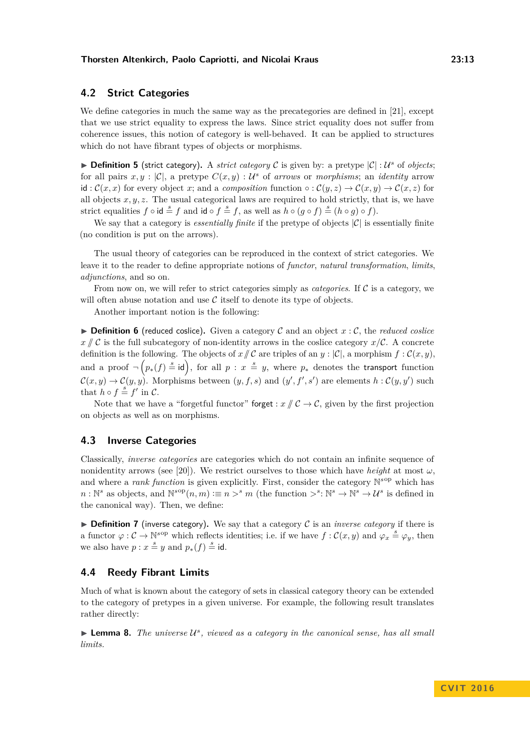## **4.2 Strict Categories**

We define categories in much the same way as the precategories are defined in [\[21\]](#page-16-2), except that we use strict equality to express the laws. Since strict equality does not suffer from coherence issues, this notion of category is well-behaved. It can be applied to structures which do not have fibrant types of objects or morphisms.

<span id="page-12-0"></span>**Definition 5** (strict category). A *strict category* C is given by: a pretype  $|C|$  : U<sup>s</sup> of *objects*; for all pairs  $x, y : |\mathcal{C}|$ , a pretype  $C(x, y) : \mathcal{U}^s$  of *arrows* or *morphisms*; an *identity* arrow id :  $\mathcal{C}(x, x)$  for every object *x*; and a *composition* function  $\circ : \mathcal{C}(y, z) \to \mathcal{C}(x, y) \to \mathcal{C}(x, z)$  for all objects  $x, y, z$ . The usual categorical laws are required to hold strictly, that is, we have strict equalities  $f \circ id \stackrel{s}{=} f$  and  $id \circ f \stackrel{s}{=} f$ , as well as  $h \circ (g \circ f) \stackrel{s}{=} (h \circ g) \circ f$ .

We say that a category is *essentially finite* if the pretype of objects  $|\mathcal{C}|$  is essentially finite (no condition is put on the arrows).

The usual theory of categories can be reproduced in the context of strict categories. We leave it to the reader to define appropriate notions of *functor*, *natural transformation*, *limits*, *adjunctions*, and so on.

From now on, we will refer to strict categories simply as *categories*. If  $\mathcal C$  is a category, we will often abuse notation and use  $\mathcal C$  itself to denote its type of objects.

Another important notion is the following:

**• Definition 6** (reduced coslice). Given a category C and an object  $x : \mathcal{C}$ , the *reduced coslice*  $x \mathbin{\#} \mathcal{C}$  is the full subcategory of non-identity arrows in the coslice category  $x \mathbin{\#} \mathcal{C}$ . A concrete definition is the following. The objects of  $x \mid \mathcal{C}$  are triples of an  $y : |\mathcal{C}|$ , a morphism  $f : \mathcal{C}(x, y)$ , and a proof  $\neg (p_*(f) \stackrel{s}{=} id)$ , for all  $p : x \stackrel{s}{=} y$ , where  $p_*$  denotes the transport function  $\mathcal{C}(x, y) \to \mathcal{C}(y, y)$ . Morphisms between  $(y, f, s)$  and  $(y', f', s')$  are elements  $h : \mathcal{C}(y, y')$  such that  $h \circ f = f'$  in C.

Note that we have a "forgetful functor" forget :  $x \nmid C \rightarrow C$ , given by the first projection on objects as well as on morphisms.

## **4.3 Inverse Categories**

Classically, *inverse categories* are categories which do not contain an infinite sequence of nonidentity arrows (see [\[20\]](#page-16-11)). We restrict ourselves to those which have *height* at most  $\omega$ , and where a *rank function* is given explicitly. First, consider the category  $\mathbb{N}^{s \text{op}}$  which has  $n: \mathbb{N}^s$  as objects, and  $\mathbb{N}^{s \text{op}}(n,m) := n >^s m$  (the function  $\gt^s: \mathbb{N}^s \to \mathbb{N}^s \to \mathcal{U}^s$  is defined in the canonical way). Then, we define:

 $\triangleright$  **Definition 7** (inverse category). We say that a category C is an *inverse category* if there is a functor  $\varphi : C \to \mathbb{N}^{s \text{op}}$  which reflects identities; i.e. if we have  $f : C(x, y)$  and  $\varphi_x \stackrel{s}{=} \varphi_y$ , then we also have  $p : x \stackrel{s}{=} y$  and  $p_*(f) \stackrel{s}{=}$  id.

## **4.4 Reedy Fibrant Limits**

Much of what is known about the category of sets in classical category theory can be extended to the category of pretypes in a given universe. For example, the following result translates rather directly:

 $\blacktriangleright$  **Lemma 8.** *The universe*  $\mathcal{U}^s$ , viewed as a category in the canonical sense, has all small *limits.*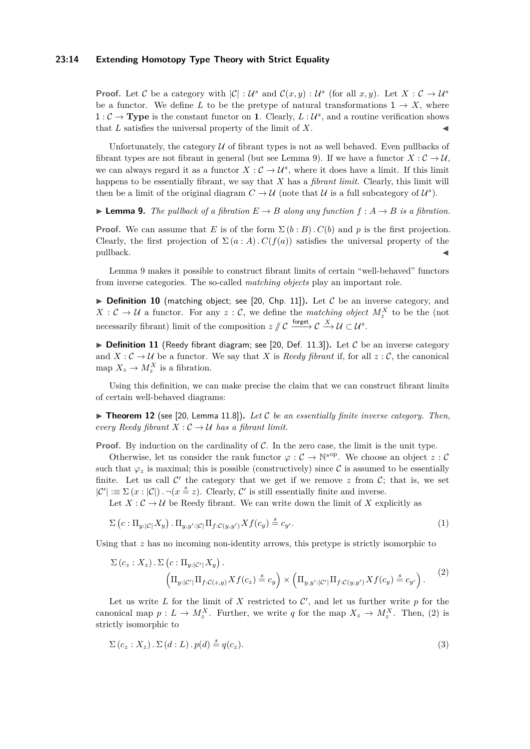#### **23:14 Extending Homotopy Type Theory with Strict Equality**

**Proof.** Let C be a category with  $|\mathcal{C}|$  :  $\mathcal{U}^s$  and  $\mathcal{C}(x, y)$  :  $\mathcal{U}^s$  (for all  $x, y$ ). Let  $X : \mathcal{C} \to \mathcal{U}^s$ be a functor. We define L to be the pretype of natural transformations  $1 \rightarrow X$ , where  $1: \mathcal{C} \to \mathbf{Type}$  is the constant functor on **1**. Clearly,  $L: \mathcal{U}^s$ , and a routine verification shows that  $L$  satisfies the universal property of the limit of  $X$ .

Unfortunately, the category  $U$  of fibrant types is not as well behaved. Even pullbacks of fibrant types are not fibrant in general (but see Lemma [9\)](#page-13-0). If we have a functor  $X: \mathcal{C} \to \mathcal{U}$ , we can always regard it as a functor  $X:\mathcal{C}\to\mathcal{U}^s$ , where it does have a limit. If this limit happens to be essentially fibrant, we say that *X* has a *fibrant limit*. Clearly, this limit will then be a limit of the original diagram  $C \to \mathcal{U}$  (note that  $\mathcal{U}$  is a full subcategory of  $\mathcal{U}^s$ ).

<span id="page-13-0"></span> $\blacktriangleright$  **Lemma 9.** *The pullback of a fibration*  $E \rightarrow B$  *along any function*  $f : A \rightarrow B$  *is a fibration.* 

**Proof.** We can assume that *E* is of the form  $\Sigma(b : B)$ .  $C(b)$  and *p* is the first projection. Clearly, the first projection of  $\Sigma(a : A)$ .  $C(f(a))$  satisfies the universal property of the pullback.

Lemma [9](#page-13-0) makes it possible to construct fibrant limits of certain "well-behaved" functors from inverse categories. The so-called *matching objects* play an important role.

 $\triangleright$  **Definition 10** (matching object; see [\[20,](#page-16-11) Chp. 11]). Let C be an inverse category, and  $X: \mathcal{C} \to \mathcal{U}$  a functor. For any  $z: \mathcal{C}$ , we define the *matching object*  $M_z^X$  to be the (not necessarily fibrant) limit of the composition  $z \nparallel C \xrightarrow{\text{forget}} C \xrightarrow{X} U \subset U^s$ .

 $\triangleright$  **Definition 11** (Reedy fibrant diagram; see [\[20,](#page-16-11) Def. 11.3]). Let C be an inverse category and  $X: \mathcal{C} \to \mathcal{U}$  be a functor. We say that X is *Reedy fibrant* if, for all  $z: \mathcal{C}$ , the canonical map  $X_z \to M_z^X$  is a fibration.

Using this definition, we can make precise the claim that we can construct fibrant limits of certain well-behaved diagrams:

<span id="page-13-3"></span> $\triangleright$  **Theorem 12** (see [\[20,](#page-16-11) Lemma 11.8]). Let C be an essentially finite inverse category. Then, *every Reedy fibrant*  $X : C \rightarrow U$  *has a fibrant limit.* 

**Proof.** By induction on the cardinality of  $C$ . In the zero case, the limit is the unit type.

Otherwise, let us consider the rank functor  $\varphi : C \to \mathbb{N}^{s \text{op}}$ . We choose an object  $z : C$ such that  $\varphi_z$  is maximal; this is possible (constructively) since C is assumed to be essentially finite. Let us call  $\mathcal{C}'$  the category that we get if we remove  $z$  from  $\mathcal{C}$ ; that is, we set  $|\mathcal{C}'| \equiv \Sigma(x : |\mathcal{C}|)$ .  $\neg(x \stackrel{s}{=} z)$ . Clearly,  $\mathcal{C}'$  is still essentially finite and inverse.

Let  $X: \mathcal{C} \to \mathcal{U}$  be Reedy fibrant. We can write down the limit of X explicitly as

$$
\Sigma\left(c:\Pi_{y:\left|c\right|}X_{y}\right).\Pi_{y,y':\left|c\right|}\Pi_{f:\mathcal{C}\left(y,y'\right)}Xf\left(c_{y}\right)\stackrel{s}{=}c_{y'}.\tag{1}
$$

Using that *z* has no incoming non-identity arrows, this pretype is strictly isomorphic to

<span id="page-13-1"></span>
$$
\Sigma(c_z : X_z) \cdot \Sigma(c : \Pi_{y:|C'|} X_y) .
$$
  
\n
$$
\left(\Pi_{y:|C'|} \Pi_{f:C(z,y)} X f(c_z) \stackrel{s}{=} c_y\right) \times \left(\Pi_{y,y':|C'|} \Pi_{f:C(y,y')} X f(c_y) \stackrel{s}{=} c_{y'}\right).
$$
\n(2)

Let us write L for the limit of X restricted to  $\mathcal{C}'$ , and let us further write p for the canonical map  $p: L \to M_{z}^{X}$ . Further, we write *q* for the map  $X_{z} \to M_{z}^{X}$ . Then, [\(2\)](#page-13-1) is strictly isomorphic to

<span id="page-13-2"></span>
$$
\Sigma(c_z : X_z) \cdot \Sigma(d : L) \cdot p(d) \stackrel{s}{=} q(c_z). \tag{3}
$$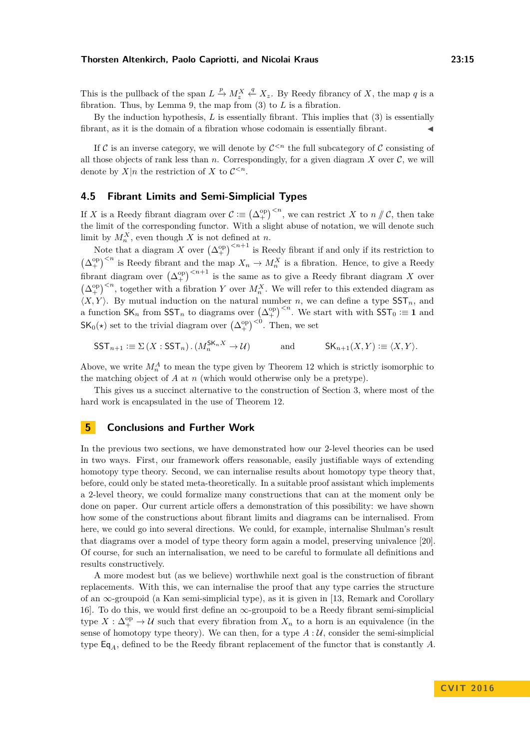This is the pullback of the span  $L \stackrel{p}{\to} M_z^X \stackrel{q}{\leftarrow} X_z$ . By Reedy fibrancy of *X*, the map *q* is a fibration. Thus, by Lemma [9,](#page-13-0) the map from [\(3\)](#page-13-2) to *L* is a fibration.

By the induction hypothesis, *L* is essentially fibrant. This implies that [\(3\)](#page-13-2) is essentially fibrant, as it is the domain of a fibration whose codomain is essentially fibrant.

If C is an inverse category, we will denote by  $C^{ the full subcategory of C consisting of$ all those objects of rank less than  $n$ . Correspondingly, for a given diagram  $X$  over  $C$ , we will denote by  $X|n$  the restriction of  $X$  to  $C^{\leq n}$ .

# **4.5 Fibrant Limits and Semi-Simplicial Types**

If *X* is a Reedy fibrant diagram over  $\mathcal{C} := (\Delta^{\text{op}})^{, we can restrict *X* to *n*  $\# \mathcal{C}$ , then take$ the limit of the corresponding functor. With a slight abuse of notation, we will denote such limit by  $M_n^X$ , even though *X* is not defined at *n*.

Note that a diagram *X* over  $(\Delta_+^{\text{op}})^{n+1}$  is Reedy fibrant if and only if its restriction to  $(\Delta_{+}^{\text{op}})^{ is Reedy fibrant and the map  $X_n \to M_n^X$  is a fibration. Hence, to give a Reedy$ fibrant diagram over  $(\Delta_+^{\text{op}})^{n+1}$  is the same as to give a Reedy fibrant diagram *X* over  $(\Delta_{+}^{\text{op}})^{, together with a fibration *Y* over  $M_n^X$ . We will refer to this extended diagram as$  $\langle X, Y \rangle$ . By mutual induction on the natural number *n*, we can define a type  $SST_n$ , and a function  $SK_n$  from  $SST_n$  to diagrams over  $(\Delta_+^{\text{op}})^{< n}$ . We start with with  $SST_0 \coloneqq 1$  and  $\mathsf{SK}_0(\star)$  set to the trivial diagram over  $(\Delta_+^{\text{op}})^{<0}$ . Then, we set

$$
\mathsf{SST}_{n+1} := \Sigma(X : \mathsf{SST}_n) \cdot (M_n^{\mathsf{SK}_n X} \to \mathcal{U}) \quad \text{and} \quad \mathsf{SK}_{n+1}(X, Y) := \langle X, Y \rangle.
$$

Above, we write  $M_n^A$  to mean the type given by Theorem [12](#page-13-3) which is strictly isomorphic to the matching object of *A* at *n* (which would otherwise only be a pretype).

This gives us a succinct alternative to the construction of Section [3,](#page-8-0) where most of the hard work is encapsulated in the use of Theorem [12.](#page-13-3)

# <span id="page-14-0"></span>**5 Conclusions and Further Work**

In the previous two sections, we have demonstrated how our 2-level theories can be used in two ways. First, our framework offers reasonable, easily justifiable ways of extending homotopy type theory. Second, we can internalise results about homotopy type theory that, before, could only be stated meta-theoretically. In a suitable proof assistant which implements a 2-level theory, we could formalize many constructions that can at the moment only be done on paper. Our current article offers a demonstration of this possibility: we have shown how some of the constructions about fibrant limits and diagrams can be internalised. From here, we could go into several directions. We could, for example, internalise Shulman's result that diagrams over a model of type theory form again a model, preserving univalence [\[20\]](#page-16-11). Of course, for such an internalisation, we need to be careful to formulate all definitions and results constructively.

A more modest but (as we believe) worthwhile next goal is the construction of fibrant replacements. With this, we can internalise the proof that any type carries the structure of an ∞-groupoid (a Kan semi-simplicial type), as it is given in [\[13,](#page-16-7) Remark and Corollary 16]. To do this, we would first define an  $\infty$ -groupoid to be a Reedy fibrant semi-simplicial type  $X:\Delta_{+}^{\text{op}}\to\mathcal{U}$  such that every fibration from  $X_n$  to a horn is an equivalence (in the sense of homotopy type theory). We can then, for a type  $A: U$ , consider the semi-simplicial type Eq*A*, defined to be the Reedy fibrant replacement of the functor that is constantly *A*.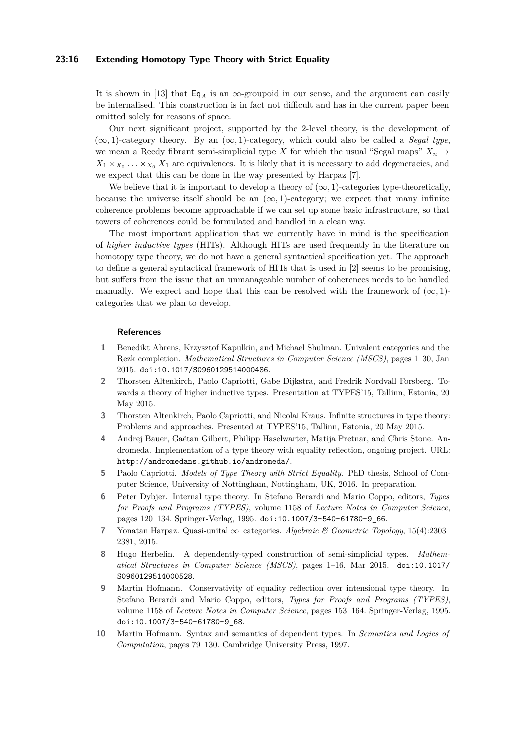#### **23:16 Extending Homotopy Type Theory with Strict Equality**

It is shown in [\[13\]](#page-16-7) that  $\mathsf{Eq}_4$  is an  $\infty$ -groupoid in our sense, and the argument can easily be internalised. This construction is in fact not difficult and has in the current paper been omitted solely for reasons of space.

Our next significant project, supported by the 2-level theory, is the development of  $(∞, 1)$ -category theory. By an  $(∞, 1)$ -category, which could also be called a *Segal type*, we mean a Reedy fibrant semi-simplicial type *X* for which the usual "Segal maps"  $X_n \to$  $X_1 \times_{X_0} \ldots \times_{X_0} X_1$  are equivalences. It is likely that it is necessary to add degeneracies, and we expect that this can be done in the way presented by Harpaz [\[7\]](#page-15-8).

We believe that it is important to develop a theory of  $(\infty, 1)$ -categories type-theoretically, because the universe itself should be an  $(\infty, 1)$ -category; we expect that many infinite coherence problems become approachable if we can set up some basic infrastructure, so that towers of coherences could be formulated and handled in a clean way.

The most important application that we currently have in mind is the specification of *higher inductive types* (HITs). Although HITs are used frequently in the literature on homotopy type theory, we do not have a general syntactical specification yet. The approach to define a general syntactical framework of HITs that is used in [\[2\]](#page-15-9) seems to be promising, but suffers from the issue that an unmanageable number of coherences needs to be handled manually. We expect and hope that this can be resolved with the framework of  $(\infty, 1)$ categories that we plan to develop.

#### **References**

- <span id="page-15-0"></span>**1** Benedikt Ahrens, Krzysztof Kapulkin, and Michael Shulman. Univalent categories and the Rezk completion. *Mathematical Structures in Computer Science (MSCS)*, pages 1–30, Jan 2015. [doi:10.1017/S0960129514000486](http://dx.doi.org/10.1017/S0960129514000486).
- <span id="page-15-9"></span>**2** Thorsten Altenkirch, Paolo Capriotti, Gabe Dijkstra, and Fredrik Nordvall Forsberg. Towards a theory of higher inductive types. Presentation at TYPES'15, Tallinn, Estonia, 20 May 2015.
- <span id="page-15-5"></span>**3** Thorsten Altenkirch, Paolo Capriotti, and Nicolai Kraus. Infinite structures in type theory: Problems and approaches. Presented at TYPES'15, Tallinn, Estonia, 20 May 2015.
- <span id="page-15-1"></span>**4** Andrej Bauer, Gaëtan Gilbert, Philipp Haselwarter, Matija Pretnar, and Chris Stone. Andromeda. Implementation of a type theory with equality reflection, ongoing project. URL: <http://andromedans.github.io/andromeda/>.
- <span id="page-15-3"></span>**5** Paolo Capriotti. *Models of Type Theory with Strict Equality*. PhD thesis, School of Computer Science, University of Nottingham, Nottingham, UK, 2016. In preparation.
- <span id="page-15-6"></span>**6** Peter Dybjer. Internal type theory. In Stefano Berardi and Mario Coppo, editors, *Types for Proofs and Programs (TYPES)*, volume 1158 of *Lecture Notes in Computer Science*, pages 120–134. Springer-Verlag, 1995. [doi:10.1007/3-540-61780-9\\_66](http://dx.doi.org/10.1007/3-540-61780-9_66).
- <span id="page-15-8"></span>**7** Yonatan Harpaz. Quasi-unital ∞–categories. *Algebraic & Geometric Topology*, 15(4):2303– 2381, 2015.
- <span id="page-15-4"></span>**8** Hugo Herbelin. A dependently-typed construction of semi-simplicial types. *Mathematical Structures in Computer Science (MSCS)*, pages 1–16, Mar 2015. [doi:10.1017/](http://dx.doi.org/10.1017/S0960129514000528) [S0960129514000528](http://dx.doi.org/10.1017/S0960129514000528).
- <span id="page-15-2"></span>**9** Martin Hofmann. Conservativity of equality reflection over intensional type theory. In Stefano Berardi and Mario Coppo, editors, *Types for Proofs and Programs (TYPES)*, volume 1158 of *Lecture Notes in Computer Science*, pages 153–164. Springer-Verlag, 1995. [doi:10.1007/3-540-61780-9\\_68](http://dx.doi.org/10.1007/3-540-61780-9_68).
- <span id="page-15-7"></span>**10** Martin Hofmann. Syntax and semantics of dependent types. In *Semantics and Logics of Computation*, pages 79–130. Cambridge University Press, 1997.